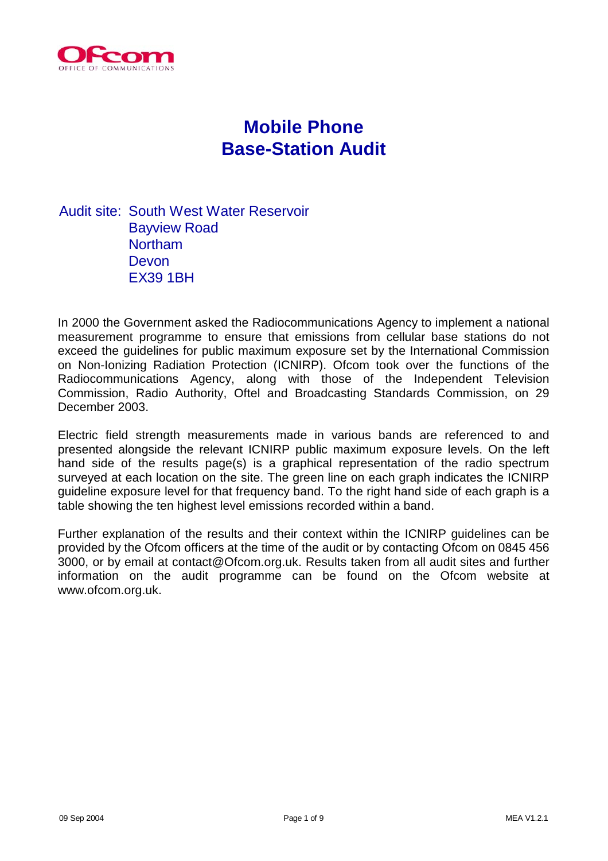

# **Mobile Phone Base-Station Audit**

Audit site: South West Water Reservoir Bayview Road Northam Devon EX39 1BH

In 2000 the Government asked the Radiocommunications Agency to implement a national measurement programme to ensure that emissions from cellular base stations do not exceed the guidelines for public maximum exposure set by the International Commission on Non-Ionizing Radiation Protection (ICNIRP). Ofcom took over the functions of the Radiocommunications Agency, along with those of the Independent Television Commission, Radio Authority, Oftel and Broadcasting Standards Commission, on 29 December 2003.

Electric field strength measurements made in various bands are referenced to and presented alongside the relevant ICNIRP public maximum exposure levels. On the left hand side of the results page(s) is a graphical representation of the radio spectrum surveyed at each location on the site. The green line on each graph indicates the ICNIRP guideline exposure level for that frequency band. To the right hand side of each graph is a table showing the ten highest level emissions recorded within a band.

Further explanation of the results and their context within the ICNIRP guidelines can be provided by the Ofcom officers at the time of the audit or by contacting Ofcom on 0845 456 3000, or by email at contact@Ofcom.org.uk. Results taken from all audit sites and further information on the audit programme can be found on the Ofcom website at www.ofcom.org.uk.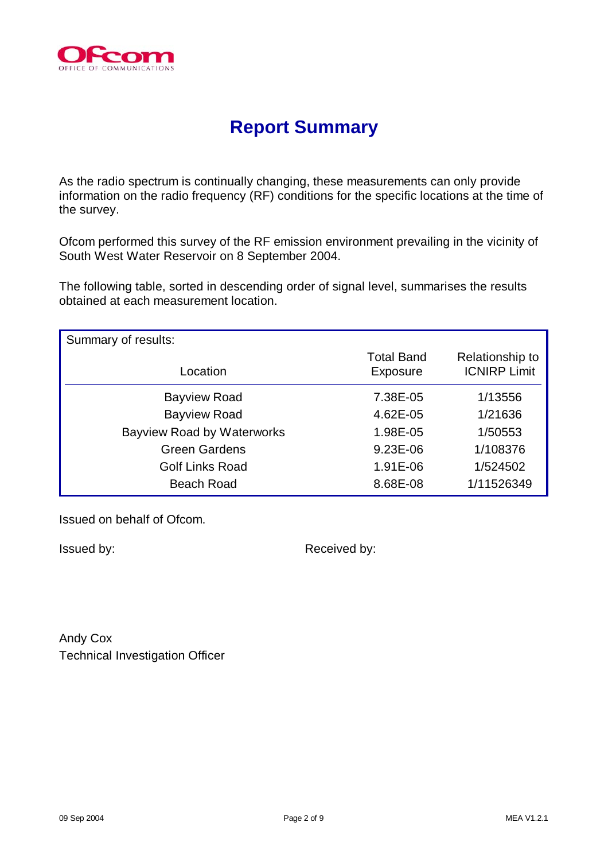

# **Report Summary**

As the radio spectrum is continually changing, these measurements can only provide information on the radio frequency (RF) conditions for the specific locations at the time of the survey.

Ofcom performed this survey of the RF emission environment prevailing in the vicinity of South West Water Reservoir on 8 September 2004.

The following table, sorted in descending order of signal level, summarises the results obtained at each measurement location.

| Summary of results:               |                               |                                        |
|-----------------------------------|-------------------------------|----------------------------------------|
| Location                          | <b>Total Band</b><br>Exposure | Relationship to<br><b>ICNIRP Limit</b> |
| <b>Bayview Road</b>               | 7.38E-05                      | 1/13556                                |
| <b>Bayview Road</b>               | 4.62E-05                      | 1/21636                                |
| <b>Bayview Road by Waterworks</b> | 1.98E-05                      | 1/50553                                |
| <b>Green Gardens</b>              | 9.23E-06                      | 1/108376                               |
| <b>Golf Links Road</b>            | 1.91E-06                      | 1/524502                               |
| <b>Beach Road</b>                 | 8.68E-08                      | 1/11526349                             |

Issued on behalf of Ofcom.

Issued by:  $\blacksquare$  Received by:

Andy Cox Technical Investigation Officer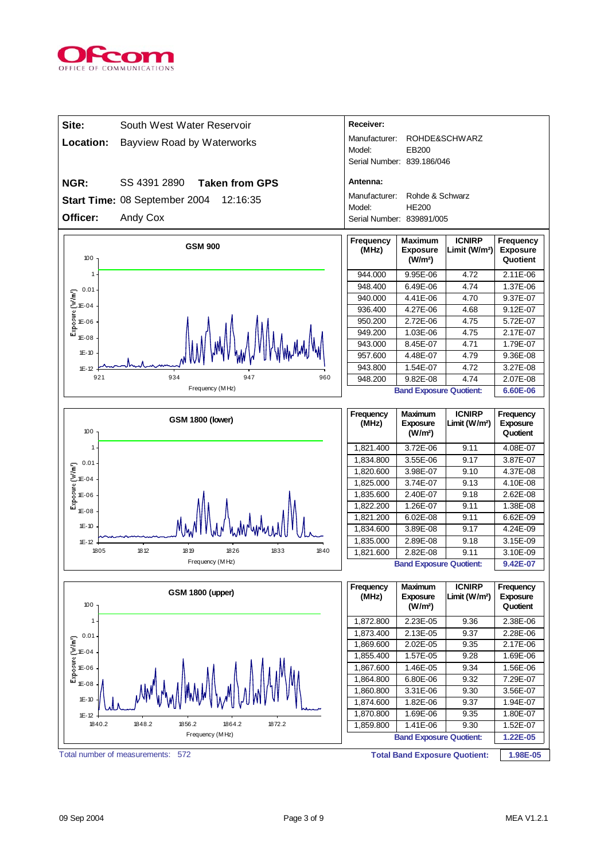

| Site:                                                                          | South West Water Reservoir                | Receiver:                  |                                                          |                                            |                                          |
|--------------------------------------------------------------------------------|-------------------------------------------|----------------------------|----------------------------------------------------------|--------------------------------------------|------------------------------------------|
| Location:                                                                      | Bayview Road by Waterworks                | Manufacturer:              |                                                          | ROHDE&SCHWARZ                              |                                          |
|                                                                                |                                           | Model:                     | EB200                                                    |                                            |                                          |
|                                                                                |                                           | Serial Number: 839.186/046 |                                                          |                                            |                                          |
| NGR:                                                                           | SS 4391 2890<br><b>Taken from GPS</b>     | Antenna:                   |                                                          |                                            |                                          |
|                                                                                | Start Time: 08 September 2004<br>12:16:35 | Manufacturer:              | Rohde & Schwarz                                          |                                            |                                          |
|                                                                                |                                           | Model:                     | <b>HE200</b>                                             |                                            |                                          |
| Officer:                                                                       | Andy Cox                                  | Serial Number: 839891/005  |                                                          |                                            |                                          |
| 100                                                                            | <b>GSM 900</b>                            | Frequency<br>(MHz)         | <b>Maximum</b><br><b>Exposure</b><br>(W/m <sup>2</sup> ) | <b>ICNIRP</b><br>Limit (W/m <sup>2</sup> ) | Frequency<br><b>Exposure</b><br>Quotient |
| 1                                                                              |                                           | 944.000                    | 9.95E-06                                                 | 4.72                                       | 2.11E-06                                 |
| 0.01                                                                           |                                           | 948.400                    | 6.49E-06                                                 | 4.74                                       | 1.37E-06                                 |
|                                                                                |                                           | 940.000                    | 4.41E-06                                                 | 4.70                                       | 9.37E-07                                 |
| $\begin{bmatrix}\n0.01 \\ 0.01 \\ 0.04\n\end{bmatrix}$<br>E-04<br>E-06<br>E-08 |                                           | 936.400                    | 4.27E-06                                                 | 4.68                                       | 9.12E-07                                 |
|                                                                                |                                           | 950.200                    | 2.72E-06                                                 | 4.75                                       | 5.72E-07                                 |
| $1E-08$                                                                        |                                           | 949.200<br>943.000         | 1.03E-06<br>8.45E-07                                     | 4.75<br>4.71                               | 2.17E-07<br>1.79E-07                     |
| $1E - 10$                                                                      |                                           | 957.600                    | 4.48E-07                                                 | 4.79                                       | 9.36E-08                                 |
| $1E-12$                                                                        |                                           | 943.800                    | 1.54E-07                                                 | 4.72                                       | 3.27E-08                                 |
| 921                                                                            | 934<br>947<br>960                         | 948.200                    | 9.82E-08                                                 | 4.74                                       | 2.07E-08                                 |
|                                                                                | Frequency (MHz)                           |                            | <b>Band Exposure Quotient:</b>                           |                                            | 6.60E-06                                 |
|                                                                                |                                           |                            |                                                          |                                            |                                          |
| 100                                                                            | <b>GSM 1800 (lower)</b>                   | Frequency<br>(MHz)         | <b>Maximum</b><br><b>Exposure</b><br>(W/m <sup>2</sup> ) | <b>ICNIRP</b><br>Limit (W/m <sup>2</sup> ) | Frequency<br><b>Exposure</b><br>Quotient |
| 1                                                                              |                                           | 1,821.400                  | 3.72E-06                                                 | 9.11                                       | 4.08E-07                                 |
| 0.01                                                                           |                                           | 1,834.800                  | 3.55E-06                                                 | 9.17                                       | 3.87E-07                                 |
| Exposure (W/m <sup>1</sup> )<br>$1E-04$                                        |                                           | 1,820.600                  | 3.98E-07                                                 | 9.10                                       | 4.37E-08                                 |
|                                                                                |                                           | 1,825.000                  | 3.74E-07                                                 | 9.13                                       | 4.10E-08                                 |
| 1E-06                                                                          |                                           | 1,835.600                  | 2.40E-07                                                 | 9.18                                       | 2.62E-08                                 |
| 1E-08                                                                          |                                           | 1,822.200                  | 1.26E-07                                                 | 9.11                                       | 1.38E-08                                 |
| $1E-10$                                                                        |                                           | 1,821.200<br>1,834.600     | 6.02E-08<br>3.89E-08                                     | 9.11<br>9.17                               | 6.62E-09<br>4.24E-09                     |
| $1E-12$                                                                        |                                           | 1,835.000                  | 2.89E-08                                                 | 9.18                                       | 3.15E-09                                 |
| 1805                                                                           | 1812<br>1833<br>18 19<br>1826<br>1840     | 1,821.600                  | 2.82E-08                                                 | 9.11                                       | 3.10E-09                                 |
|                                                                                | Frequency (MHz)                           |                            | <b>Band Exposure Quotient:</b>                           |                                            | 9.42E-07                                 |
| 100                                                                            | <b>GSM 1800 (upper)</b>                   | Frequency<br>(MHz)         | <b>Maximum</b><br><b>Exposure</b><br>(W/m <sup>2</sup> ) | <b>ICNIRP</b><br>Limit (W/m <sup>2</sup> ) | Frequency<br><b>Exposure</b><br>Quotient |
| 1                                                                              |                                           | 1,872.800                  | 2.23E-05                                                 | 9.36                                       | 2.38E-06                                 |
| 0.01                                                                           |                                           | 1,873.400                  | 2.13E-05                                                 | 9.37                                       | 2.28E-06                                 |
|                                                                                |                                           | 1,869.600                  | 2.02E-05                                                 | 9.35                                       | 2.17E-06                                 |
|                                                                                |                                           | 1,855.400                  | 1.57E-05                                                 | 9.28                                       | 1.69E-06                                 |
| $\begin{bmatrix}\n0.01 \\ 0.01 \\ 0.04\n\end{bmatrix}$<br>E-04<br>E-06<br>E-08 |                                           | 1,867.600                  | 1.46E-05                                                 | 9.34                                       | 1.56E-06                                 |
| 1E-08                                                                          |                                           | 1,864.800<br>1,860.800     | 6.80E-06<br>3.31E-06                                     | 9.32<br>9.30                               | 7.29E-07<br>3.56E-07                     |
| $1E - 10$                                                                      |                                           | 1,874.600                  | 1.82E-06                                                 | 9.37                                       | 1.94E-07                                 |
| $1E-12$                                                                        |                                           | 1,870.800                  | 1.69E-06                                                 | 9.35                                       | 1.80E-07                                 |
| 1840.2                                                                         | 1848.2<br>1856.2<br>1864.2<br>1872.2      | 1,859.800                  | 1.41E-06                                                 | 9.30                                       | 1.52E-07                                 |
|                                                                                | Frequency (MHz)                           |                            | <b>Band Exposure Quotient:</b>                           |                                            | 1.22E-05                                 |
|                                                                                | Total number of measurements:<br>572      |                            | <b>Total Band Exposure Quotient:</b>                     |                                            | 1.98E-05                                 |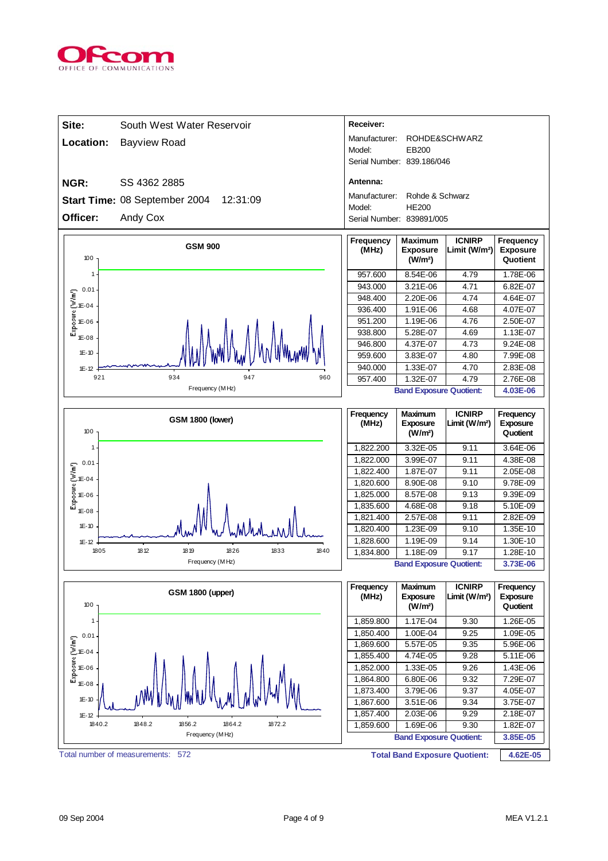

| Site:                                                                          | South West Water Reservoir                | Receiver:                  |                                                          |                                            |                                          |
|--------------------------------------------------------------------------------|-------------------------------------------|----------------------------|----------------------------------------------------------|--------------------------------------------|------------------------------------------|
| Location:                                                                      | <b>Bayview Road</b>                       | Manufacturer:              |                                                          | ROHDE&SCHWARZ                              |                                          |
|                                                                                |                                           | Model:                     | EB200                                                    |                                            |                                          |
|                                                                                |                                           | Serial Number: 839.186/046 |                                                          |                                            |                                          |
| NGR:                                                                           | SS 4362 2885                              | Antenna:                   |                                                          |                                            |                                          |
|                                                                                | Start Time: 08 September 2004<br>12:31:09 | Manufacturer:              | Rohde & Schwarz                                          |                                            |                                          |
|                                                                                |                                           | Model:                     | <b>HE200</b>                                             |                                            |                                          |
| Officer:                                                                       | Andy Cox                                  | Serial Number: 839891/005  |                                                          |                                            |                                          |
| 100                                                                            | <b>GSM 900</b>                            | Frequency<br>(MHz)         | <b>Maximum</b><br><b>Exposure</b><br>(W/m <sup>2</sup> ) | <b>ICNIRP</b><br>Limit (W/m <sup>2</sup> ) | Frequency<br><b>Exposure</b><br>Quotient |
| 1                                                                              |                                           | 957.600                    | 8.54E-06                                                 | 4.79                                       | 1.78E-06                                 |
| 0.01                                                                           |                                           | 943.000                    | 3.21E-06                                                 | 4.71                                       | 6.82E-07                                 |
|                                                                                |                                           | 948.400                    | 2.20E-06                                                 | 4.74                                       | 4.64E-07                                 |
| $\begin{bmatrix}\n0.01 \\ 0.01 \\ 0.04\n\end{bmatrix}$<br>E-04<br>E-06<br>E-08 |                                           | 936.400                    | 1.91E-06                                                 | 4.68                                       | 4.07E-07                                 |
|                                                                                |                                           | 951.200                    | 1.19E-06                                                 | 4.76                                       | 2.50E-07                                 |
| $1E-08$                                                                        |                                           | 938.800<br>946.800         | 5.28E-07<br>4.37E-07                                     | 4.69<br>4.73                               | 1.13E-07<br>9.24E-08                     |
| $1E - 10$                                                                      |                                           | 959.600                    | 3.83E-07                                                 | 4.80                                       | 7.99E-08                                 |
| $1E-12$                                                                        |                                           | 940.000                    | 1.33E-07                                                 | 4.70                                       | 2.83E-08                                 |
| 921                                                                            | 934<br>947<br>960                         | 957.400                    | 1.32E-07                                                 | 4.79                                       | 2.76E-08                                 |
|                                                                                | Frequency (MHz)                           |                            | <b>Band Exposure Quotient:</b>                           |                                            | 4.03E-06                                 |
|                                                                                |                                           |                            |                                                          |                                            |                                          |
|                                                                                | <b>GSM 1800 (lower)</b>                   | Frequency                  | <b>Maximum</b>                                           | <b>ICNIRP</b>                              | Frequency                                |
| 100                                                                            |                                           | (MHz)                      | <b>Exposure</b><br>(W/m <sup>2</sup> )                   | Limit (W/m <sup>2</sup> )                  | <b>Exposure</b><br>Quotient              |
| 1                                                                              |                                           |                            | 3.32E-05                                                 | 9.11                                       |                                          |
|                                                                                |                                           | 1,822.200<br>1,822.000     | 3.99E-07                                                 | 9.11                                       | 3.64E-06<br>4.38E-08                     |
| 0.01                                                                           |                                           | 1,822.400                  | 1.87E-07                                                 | 9.11                                       | 2.05E-08                                 |
| Exposure (W/m <sup>1</sup> )<br>$1E-04$                                        |                                           | 1,820.600                  | 8.90E-08                                                 | 9.10                                       | 9.78E-09                                 |
| 1E-06                                                                          |                                           | 1,825.000                  | 8.57E-08                                                 | 9.13                                       | 9.39E-09                                 |
| 1E-08                                                                          |                                           | 1,835.600                  | 4.68E-08                                                 | 9.18                                       | 5.10E-09                                 |
|                                                                                |                                           | 1,821.400                  | 2.57E-08                                                 | 9.11                                       | 2.82E-09                                 |
| $1E-10$                                                                        |                                           | 1,820.400                  | 1.23E-09                                                 | 9.10                                       | 1.35E-10                                 |
| $1E-12$<br>1805                                                                | 1812<br>18 19<br>1826<br>1833<br>1840     | 1,828.600                  | 1.19E-09                                                 | 9.14                                       | 1.30E-10                                 |
|                                                                                | Frequency (MHz)                           | 1,834.800                  | 1.18E-09<br><b>Band Exposure Quotient:</b>               | 9.17                                       | 1.28E-10<br>3.73E-06                     |
|                                                                                |                                           |                            |                                                          |                                            |                                          |
| 100                                                                            | <b>GSM 1800 (upper)</b>                   | Frequency<br>(MHz)         | <b>Maximum</b><br><b>Exposure</b><br>(W/m <sup>2</sup> ) | <b>ICNIRP</b><br>Limit (W/m <sup>2</sup> ) | Frequency<br><b>Exposure</b><br>Quotient |
| 1                                                                              |                                           | 1,859.800                  | 1.17E-04                                                 | 9.30                                       | 1.26E-05                                 |
| 0.01                                                                           |                                           | 1,850.400                  | 1.00E-04                                                 | 9.25                                       | 1.09E-05                                 |
|                                                                                |                                           | 1,869.600                  | 5.57E-05                                                 | 9.35                                       | 5.96E-06                                 |
|                                                                                |                                           | 1,855.400                  | 4.74E-05                                                 | 9.28                                       | 5.11E-06                                 |
| $\begin{bmatrix}\n0.01 \\ 0.01 \\ 0.04\n\end{bmatrix}$<br>E-04<br>E-06<br>E-08 |                                           | 1,852.000<br>1,864.800     | 1.33E-05<br>6.80E-06                                     | 9.26<br>9.32                               | 1.43E-06<br>7.29E-07                     |
| $1E-08$                                                                        |                                           | 1,873.400                  | 3.79E-06                                                 | 9.37                                       | 4.05E-07                                 |
| $1E - 10$                                                                      |                                           | 1,867.600                  | 3.51E-06                                                 | 9.34                                       | 3.75E-07                                 |
| $1E - 12$                                                                      |                                           | 1,857.400                  | 2.03E-06                                                 | 9.29                                       | 2.18E-07                                 |
| 1840.2                                                                         | 1848.2<br>1856.2<br>1864.2<br>1872.2      | 1,859.600                  | 1.69E-06                                                 | 9.30                                       | 1.82E-07                                 |
|                                                                                | Frequency (MHz)                           |                            | <b>Band Exposure Quotient:</b>                           |                                            | 3.85E-05                                 |
|                                                                                | Total number of measurements:<br>572      |                            | <b>Total Band Exposure Quotient:</b>                     |                                            | 4.62E-05                                 |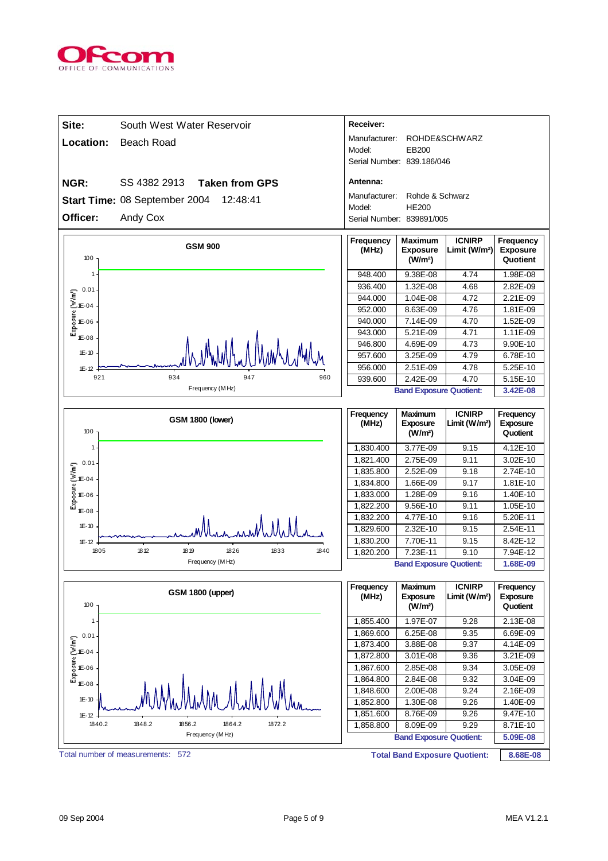

| Site:                                                                                   | South West Water Reservoir                | Receiver:                  |                                                          |                                            |                                          |
|-----------------------------------------------------------------------------------------|-------------------------------------------|----------------------------|----------------------------------------------------------|--------------------------------------------|------------------------------------------|
|                                                                                         |                                           | Manufacturer:              |                                                          | ROHDE&SCHWARZ                              |                                          |
| Location:                                                                               | <b>Beach Road</b>                         | Model:                     | EB200                                                    |                                            |                                          |
|                                                                                         |                                           | Serial Number: 839.186/046 |                                                          |                                            |                                          |
| NGR:                                                                                    | SS 4382 2913<br><b>Taken from GPS</b>     | Antenna:                   |                                                          |                                            |                                          |
|                                                                                         | Start Time: 08 September 2004<br>12:48:41 | Manufacturer:              | Rohde & Schwarz                                          |                                            |                                          |
|                                                                                         |                                           | Model:                     | <b>HE200</b>                                             |                                            |                                          |
| Officer:                                                                                | Andy Cox                                  | Serial Number: 839891/005  |                                                          |                                            |                                          |
| 100                                                                                     | <b>GSM 900</b>                            | Frequency<br>(MHz)         | <b>Maximum</b><br><b>Exposure</b><br>(W/m <sup>2</sup> ) | <b>ICNIRP</b><br>Limit (W/m <sup>2</sup> ) | Frequency<br><b>Exposure</b><br>Quotient |
| 1                                                                                       |                                           | 948.400                    | 9.38E-08                                                 | 4.74                                       | 1.98E-08                                 |
| 0.01                                                                                    |                                           | 936.400                    | 1.32E-08                                                 | 4.68                                       | 2.82E-09                                 |
|                                                                                         |                                           | 944.000                    | 1.04E-08                                                 | 4.72                                       | 2.21E-09                                 |
|                                                                                         |                                           | 952.000                    | 8.63E-09                                                 | 4.76                                       | 1.81E-09                                 |
| $\begin{bmatrix}\n0.01 \\ 0.01 \\ 0.04\n\end{bmatrix}$<br>E-04<br>E-06<br>E-08          |                                           | 940.000                    | 7.14E-09                                                 | 4.70                                       | 1.52E-09<br>1.11E-09                     |
| $1E-08$                                                                                 |                                           | 943.000<br>946.800         | 5.21E-09                                                 | 4.71<br>4.73                               |                                          |
| $1E-10$                                                                                 |                                           | 957.600                    | 4.69E-09<br>3.25E-09                                     | 4.79                                       | 9.90E-10<br>6.78E-10                     |
|                                                                                         |                                           | 956.000                    | 2.51E-09                                                 | 4.78                                       | 5.25E-10                                 |
| $1E - 12$<br>921                                                                        | 934<br>947<br>960                         | 939.600                    | 2.42E-09                                                 | 4.70                                       | 5.15E-10                                 |
|                                                                                         | Frequency (MHz)                           |                            | <b>Band Exposure Quotient:</b>                           |                                            | 3.42E-08                                 |
|                                                                                         |                                           |                            |                                                          |                                            |                                          |
| 100                                                                                     | <b>GSM 1800 (lower)</b>                   | Frequency<br>(MHz)         | <b>Maximum</b><br><b>Exposure</b><br>(W/m <sup>2</sup> ) | <b>ICNIRP</b><br>Limit (W/m <sup>2</sup> ) | Frequency<br><b>Exposure</b><br>Quotient |
| $\mathbf{1}$                                                                            |                                           | 1,830.400                  | 3.77E-09                                                 | 9.15                                       | 4.12E-10                                 |
| 0.01                                                                                    |                                           | 1,821.400                  | 2.75E-09                                                 | 9.11                                       | 3.02E-10                                 |
|                                                                                         |                                           | 1,835.800                  | 2.52E-09                                                 | 9.18                                       | 2.74E-10                                 |
|                                                                                         |                                           | 1,834.800                  | 1.66E-09                                                 | 9.17                                       | 1.81E-10                                 |
|                                                                                         |                                           |                            |                                                          |                                            |                                          |
|                                                                                         |                                           | 1,833.000                  | 1.28E-09                                                 | 9.16                                       | 1.40E-10                                 |
| $\begin{bmatrix}\n0.01 \\ 0.01 \\ 0.04\n\end{bmatrix}$<br>E-04<br>E-06<br>E-08<br>1E-08 |                                           | 1,822.200                  | 9.56E-10                                                 | 9.11                                       | 1.05E-10                                 |
|                                                                                         |                                           | 1,832.200                  | 4.77E-10                                                 | 9.16                                       | 5.20E-11                                 |
| $1E - 10$                                                                               |                                           | 1,829.600                  | 2.32E-10                                                 | 9.15                                       | 2.54E-11                                 |
| $1E-12$                                                                                 |                                           | 1,830.200                  | 7.70E-11                                                 | 9.15                                       | 8.42E-12                                 |
| 1805                                                                                    | 1812<br>18 19<br>1826<br>1833<br>1840     | 1,820.200                  | 7.23E-11                                                 | 9.10                                       | 7.94E-12                                 |
|                                                                                         | Frequency (MHz)                           |                            | <b>Band Exposure Quotient:</b>                           |                                            | 1.68E-09                                 |
| 100                                                                                     | <b>GSM 1800 (upper)</b>                   | Frequency<br>(MHz)         | <b>Maximum</b><br><b>Exposure</b><br>(W/m <sup>2</sup> ) | <b>ICNIRP</b><br>Limit (W/m <sup>2</sup> ) | Frequency<br>Exposure<br>Quotient        |
| $\mathbf{1}$                                                                            |                                           | 1,855.400                  | 1.97E-07                                                 | 9.28                                       | 2.13E-08                                 |
| 0.01                                                                                    |                                           | 1,869.600                  | 6.25E-08                                                 | 9.35                                       | 6.69E-09                                 |
|                                                                                         |                                           | 1,873.400                  | 3.88E-08                                                 | 9.37                                       | 4.14E-09                                 |
| 1E-04                                                                                   |                                           | 1,872.800                  | 3.01E-08                                                 | 9.36                                       | 3.21E-09                                 |
| 1E-06                                                                                   |                                           | 1,867.600                  | 2.85E-08                                                 | 9.34                                       | 3.05E-09                                 |
| Exposure (W/m')<br>1E-08                                                                |                                           | 1,864.800                  | 2.84E-08                                                 | 9.32                                       | 3.04E-09                                 |
|                                                                                         |                                           | 1,848.600                  | 2.00E-08                                                 | 9.24                                       | 2.16E-09                                 |
| $1E-10$                                                                                 |                                           | 1,852.800                  | 1.30E-08                                                 | 9.26                                       | 1.40E-09                                 |
| $1E - 12$                                                                               |                                           | 1,851.600                  | 8.76E-09                                                 | 9.26                                       | 9.47E-10                                 |
| 1840.2                                                                                  | 1848.2<br>1856.2<br>1864.2<br>1872.2      | 1,858.800                  | 8.09E-09                                                 | 9.29                                       | 8.71E-10                                 |
|                                                                                         | Frequency (MHz)                           |                            | <b>Band Exposure Quotient:</b>                           |                                            | 5.09E-08                                 |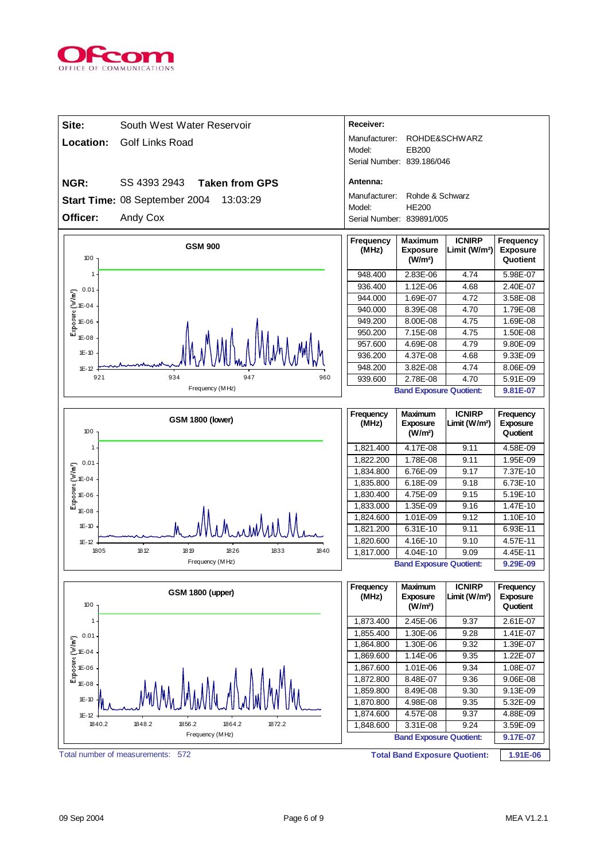

| Manufacturer:<br>ROHDE&SCHWARZ<br>Location:<br><b>Golf Links Road</b><br>Model:<br>EB200<br>Serial Number: 839.186/046<br>SS 4393 2943<br>Antenna:<br>NGR:<br><b>Taken from GPS</b><br>Manufacturer:<br>Rohde & Schwarz<br>Start Time: 08 September 2004<br>13:03:29<br><b>HE200</b><br>Model:<br>Officer:<br>Andy Cox<br>Serial Number: 839891/005<br>Frequency<br><b>ICNIRP</b><br>Frequency<br>Maximum<br><b>GSM 900</b><br>(MHz)<br>Limit (W/m <sup>2</sup> )<br><b>Exposure</b><br><b>Exposure</b><br>100<br>Quotient<br>(W/m <sup>2</sup> )<br>948.400<br>2.83E-06<br>4.74<br>5.98E-07<br>$\overline{1}$<br>936.400<br>1.12E-06<br>4.68<br>2.40E-07<br>0.01<br>$\begin{bmatrix}\n0.01 \\ 0.01 \\ 0.04\n\end{bmatrix}$<br>E-04<br>E-06<br>E-08<br>1.69E-07<br>4.72<br>944.000<br>3.58E-08<br>940.000<br>8.39E-08<br>4.70<br>1.79E-08<br>949.200<br>8.00E-08<br>4.75<br>1.69E-08<br>950.200<br>7.15E-08<br>4.75<br>1.50E-08<br>1E-08<br>957.600<br>4.79<br>4.69E-08<br>9.80E-09<br>$1E-10$<br>936.200<br>4.37E-08<br>4.68<br>9.33E-09<br>948.200<br>3.82E-08<br>8.06E-09<br>4.74<br>$1E - 12$<br>921<br>934<br>947<br>960<br>2.78E-08<br>939.600<br>4.70<br>5.91E-09<br>Frequency (MHz)<br><b>Band Exposure Quotient:</b><br>9.81E-07<br><b>ICNIRP</b><br>Frequency<br>Maximum<br>Frequency<br><b>GSM 1800 (lower)</b><br>Limit (W/m <sup>2</sup> )<br>(MHz)<br><b>Exposure</b><br><b>Exposure</b><br>100<br>(W/m <sup>2</sup> )<br>Quotient<br>1,821.400<br>4.17E-08<br>9.11<br>1<br>4.58E-09<br>1,822.200<br>1.78E-08<br>9.11<br>1.95E-09<br>0.01<br>$\begin{bmatrix}\n0.01 \\ 0.01 \\ 0.04\n\end{bmatrix}$<br>E-04<br>E-06<br>E-08<br>6.76E-09<br>7.37E-10<br>1,834.800<br>9.17<br>1,835.800<br>6.18E-09<br>9.18<br>6.73E-10<br>4.75E-09<br>9.15<br>5.19E-10<br>1,830.400<br>1,833.000<br>1.35E-09<br>9.16<br>1.47E-10<br>1E-08<br>9.12<br>1.10E-10<br>1,824.600<br>1.01E-09<br>$1E-10$<br>1,821.200<br>6.31E-10<br>9.11<br>6.93E-11<br>1,820.600<br>4.16E-10<br>9.10<br>4.57E-11<br>$1E-12$<br>1812<br>1805<br>18 19<br>1833<br>1840<br>1826<br>4.04E-10<br>1,817.000<br>9.09<br>4.45E-11<br>Frequency (MHz)<br><b>Band Exposure Quotient:</b><br>9.29E-09<br><b>ICNIRP</b><br>Frequency<br>Maximum<br>Frequency<br><b>GSM 1800 (upper)</b><br>(MHz)<br>Exposure<br>Limit (W/m <sup>2</sup> )<br><b>Exposure</b><br>100<br>(W/m <sup>2</sup> )<br>Quotient<br>1,873.400<br>2.45E-06<br>9.37<br>2.61E-07<br>$\mathbf{1}$<br>1,855.400<br>1.30E-06<br>9.28<br>1.41E-07<br>0.01<br>$\begin{bmatrix}\n0.01 \\ 0.01 \\ 0.04\n\end{bmatrix}$<br>E-04<br>E-06<br>E-08<br>1,864.800<br>1.30E-06<br>9.32<br>1.39E-07<br>1.14E-06<br>9.35<br>1.22E-07<br>1,869.600<br>1,867.600<br>1.01E-06<br>9.34<br>1.08E-07<br>9.06E-08<br>1,872.800<br>8.48E-07<br>9.36<br>$1E-08$<br>1,859.800<br>8.49E-08<br>9.30<br>9.13E-09<br>$1E-10$<br>1,870.800<br>4.98E-08<br>9.35<br>5.32E-09<br>1,874.600<br>4.57E-08<br>9.37<br>4.88E-09<br>$1E - 12$<br>1840.2<br>1848.2<br>1856.2<br>1864.2<br>1872.2<br>1,848.600<br>3.31E-08<br>9.24<br>3.59E-09<br>Frequency (MHz)<br><b>Band Exposure Quotient:</b><br>9.17E-07<br>Total number of measurements: 572 | Site: | South West Water Reservoir | Receiver: |  |  |
|-------------------------------------------------------------------------------------------------------------------------------------------------------------------------------------------------------------------------------------------------------------------------------------------------------------------------------------------------------------------------------------------------------------------------------------------------------------------------------------------------------------------------------------------------------------------------------------------------------------------------------------------------------------------------------------------------------------------------------------------------------------------------------------------------------------------------------------------------------------------------------------------------------------------------------------------------------------------------------------------------------------------------------------------------------------------------------------------------------------------------------------------------------------------------------------------------------------------------------------------------------------------------------------------------------------------------------------------------------------------------------------------------------------------------------------------------------------------------------------------------------------------------------------------------------------------------------------------------------------------------------------------------------------------------------------------------------------------------------------------------------------------------------------------------------------------------------------------------------------------------------------------------------------------------------------------------------------------------------------------------------------------------------------------------------------------------------------------------------------------------------------------------------------------------------------------------------------------------------------------------------------------------------------------------------------------------------------------------------------------------------------------------------------------------------------------------------------------------------------------------------------------------------------------------------------------------------------------------------------------------------------------------------------------------------------------------------------------------------------------------------------------------------------------------------------------------------------------------------------------------------------------------------------------------------------------------------------------------------------------------------------------------------------------------------------------------------------------------------------------------------------------|-------|----------------------------|-----------|--|--|
|                                                                                                                                                                                                                                                                                                                                                                                                                                                                                                                                                                                                                                                                                                                                                                                                                                                                                                                                                                                                                                                                                                                                                                                                                                                                                                                                                                                                                                                                                                                                                                                                                                                                                                                                                                                                                                                                                                                                                                                                                                                                                                                                                                                                                                                                                                                                                                                                                                                                                                                                                                                                                                                                                                                                                                                                                                                                                                                                                                                                                                                                                                                                           |       |                            |           |  |  |
|                                                                                                                                                                                                                                                                                                                                                                                                                                                                                                                                                                                                                                                                                                                                                                                                                                                                                                                                                                                                                                                                                                                                                                                                                                                                                                                                                                                                                                                                                                                                                                                                                                                                                                                                                                                                                                                                                                                                                                                                                                                                                                                                                                                                                                                                                                                                                                                                                                                                                                                                                                                                                                                                                                                                                                                                                                                                                                                                                                                                                                                                                                                                           |       |                            |           |  |  |
|                                                                                                                                                                                                                                                                                                                                                                                                                                                                                                                                                                                                                                                                                                                                                                                                                                                                                                                                                                                                                                                                                                                                                                                                                                                                                                                                                                                                                                                                                                                                                                                                                                                                                                                                                                                                                                                                                                                                                                                                                                                                                                                                                                                                                                                                                                                                                                                                                                                                                                                                                                                                                                                                                                                                                                                                                                                                                                                                                                                                                                                                                                                                           |       |                            |           |  |  |
|                                                                                                                                                                                                                                                                                                                                                                                                                                                                                                                                                                                                                                                                                                                                                                                                                                                                                                                                                                                                                                                                                                                                                                                                                                                                                                                                                                                                                                                                                                                                                                                                                                                                                                                                                                                                                                                                                                                                                                                                                                                                                                                                                                                                                                                                                                                                                                                                                                                                                                                                                                                                                                                                                                                                                                                                                                                                                                                                                                                                                                                                                                                                           |       |                            |           |  |  |
|                                                                                                                                                                                                                                                                                                                                                                                                                                                                                                                                                                                                                                                                                                                                                                                                                                                                                                                                                                                                                                                                                                                                                                                                                                                                                                                                                                                                                                                                                                                                                                                                                                                                                                                                                                                                                                                                                                                                                                                                                                                                                                                                                                                                                                                                                                                                                                                                                                                                                                                                                                                                                                                                                                                                                                                                                                                                                                                                                                                                                                                                                                                                           |       |                            |           |  |  |
|                                                                                                                                                                                                                                                                                                                                                                                                                                                                                                                                                                                                                                                                                                                                                                                                                                                                                                                                                                                                                                                                                                                                                                                                                                                                                                                                                                                                                                                                                                                                                                                                                                                                                                                                                                                                                                                                                                                                                                                                                                                                                                                                                                                                                                                                                                                                                                                                                                                                                                                                                                                                                                                                                                                                                                                                                                                                                                                                                                                                                                                                                                                                           |       |                            |           |  |  |
|                                                                                                                                                                                                                                                                                                                                                                                                                                                                                                                                                                                                                                                                                                                                                                                                                                                                                                                                                                                                                                                                                                                                                                                                                                                                                                                                                                                                                                                                                                                                                                                                                                                                                                                                                                                                                                                                                                                                                                                                                                                                                                                                                                                                                                                                                                                                                                                                                                                                                                                                                                                                                                                                                                                                                                                                                                                                                                                                                                                                                                                                                                                                           |       |                            |           |  |  |
|                                                                                                                                                                                                                                                                                                                                                                                                                                                                                                                                                                                                                                                                                                                                                                                                                                                                                                                                                                                                                                                                                                                                                                                                                                                                                                                                                                                                                                                                                                                                                                                                                                                                                                                                                                                                                                                                                                                                                                                                                                                                                                                                                                                                                                                                                                                                                                                                                                                                                                                                                                                                                                                                                                                                                                                                                                                                                                                                                                                                                                                                                                                                           |       |                            |           |  |  |
|                                                                                                                                                                                                                                                                                                                                                                                                                                                                                                                                                                                                                                                                                                                                                                                                                                                                                                                                                                                                                                                                                                                                                                                                                                                                                                                                                                                                                                                                                                                                                                                                                                                                                                                                                                                                                                                                                                                                                                                                                                                                                                                                                                                                                                                                                                                                                                                                                                                                                                                                                                                                                                                                                                                                                                                                                                                                                                                                                                                                                                                                                                                                           |       |                            |           |  |  |
|                                                                                                                                                                                                                                                                                                                                                                                                                                                                                                                                                                                                                                                                                                                                                                                                                                                                                                                                                                                                                                                                                                                                                                                                                                                                                                                                                                                                                                                                                                                                                                                                                                                                                                                                                                                                                                                                                                                                                                                                                                                                                                                                                                                                                                                                                                                                                                                                                                                                                                                                                                                                                                                                                                                                                                                                                                                                                                                                                                                                                                                                                                                                           |       |                            |           |  |  |
|                                                                                                                                                                                                                                                                                                                                                                                                                                                                                                                                                                                                                                                                                                                                                                                                                                                                                                                                                                                                                                                                                                                                                                                                                                                                                                                                                                                                                                                                                                                                                                                                                                                                                                                                                                                                                                                                                                                                                                                                                                                                                                                                                                                                                                                                                                                                                                                                                                                                                                                                                                                                                                                                                                                                                                                                                                                                                                                                                                                                                                                                                                                                           |       |                            |           |  |  |
|                                                                                                                                                                                                                                                                                                                                                                                                                                                                                                                                                                                                                                                                                                                                                                                                                                                                                                                                                                                                                                                                                                                                                                                                                                                                                                                                                                                                                                                                                                                                                                                                                                                                                                                                                                                                                                                                                                                                                                                                                                                                                                                                                                                                                                                                                                                                                                                                                                                                                                                                                                                                                                                                                                                                                                                                                                                                                                                                                                                                                                                                                                                                           |       |                            |           |  |  |
|                                                                                                                                                                                                                                                                                                                                                                                                                                                                                                                                                                                                                                                                                                                                                                                                                                                                                                                                                                                                                                                                                                                                                                                                                                                                                                                                                                                                                                                                                                                                                                                                                                                                                                                                                                                                                                                                                                                                                                                                                                                                                                                                                                                                                                                                                                                                                                                                                                                                                                                                                                                                                                                                                                                                                                                                                                                                                                                                                                                                                                                                                                                                           |       |                            |           |  |  |
|                                                                                                                                                                                                                                                                                                                                                                                                                                                                                                                                                                                                                                                                                                                                                                                                                                                                                                                                                                                                                                                                                                                                                                                                                                                                                                                                                                                                                                                                                                                                                                                                                                                                                                                                                                                                                                                                                                                                                                                                                                                                                                                                                                                                                                                                                                                                                                                                                                                                                                                                                                                                                                                                                                                                                                                                                                                                                                                                                                                                                                                                                                                                           |       |                            |           |  |  |
|                                                                                                                                                                                                                                                                                                                                                                                                                                                                                                                                                                                                                                                                                                                                                                                                                                                                                                                                                                                                                                                                                                                                                                                                                                                                                                                                                                                                                                                                                                                                                                                                                                                                                                                                                                                                                                                                                                                                                                                                                                                                                                                                                                                                                                                                                                                                                                                                                                                                                                                                                                                                                                                                                                                                                                                                                                                                                                                                                                                                                                                                                                                                           |       |                            |           |  |  |
|                                                                                                                                                                                                                                                                                                                                                                                                                                                                                                                                                                                                                                                                                                                                                                                                                                                                                                                                                                                                                                                                                                                                                                                                                                                                                                                                                                                                                                                                                                                                                                                                                                                                                                                                                                                                                                                                                                                                                                                                                                                                                                                                                                                                                                                                                                                                                                                                                                                                                                                                                                                                                                                                                                                                                                                                                                                                                                                                                                                                                                                                                                                                           |       |                            |           |  |  |
|                                                                                                                                                                                                                                                                                                                                                                                                                                                                                                                                                                                                                                                                                                                                                                                                                                                                                                                                                                                                                                                                                                                                                                                                                                                                                                                                                                                                                                                                                                                                                                                                                                                                                                                                                                                                                                                                                                                                                                                                                                                                                                                                                                                                                                                                                                                                                                                                                                                                                                                                                                                                                                                                                                                                                                                                                                                                                                                                                                                                                                                                                                                                           |       |                            |           |  |  |
|                                                                                                                                                                                                                                                                                                                                                                                                                                                                                                                                                                                                                                                                                                                                                                                                                                                                                                                                                                                                                                                                                                                                                                                                                                                                                                                                                                                                                                                                                                                                                                                                                                                                                                                                                                                                                                                                                                                                                                                                                                                                                                                                                                                                                                                                                                                                                                                                                                                                                                                                                                                                                                                                                                                                                                                                                                                                                                                                                                                                                                                                                                                                           |       |                            |           |  |  |
|                                                                                                                                                                                                                                                                                                                                                                                                                                                                                                                                                                                                                                                                                                                                                                                                                                                                                                                                                                                                                                                                                                                                                                                                                                                                                                                                                                                                                                                                                                                                                                                                                                                                                                                                                                                                                                                                                                                                                                                                                                                                                                                                                                                                                                                                                                                                                                                                                                                                                                                                                                                                                                                                                                                                                                                                                                                                                                                                                                                                                                                                                                                                           |       |                            |           |  |  |
|                                                                                                                                                                                                                                                                                                                                                                                                                                                                                                                                                                                                                                                                                                                                                                                                                                                                                                                                                                                                                                                                                                                                                                                                                                                                                                                                                                                                                                                                                                                                                                                                                                                                                                                                                                                                                                                                                                                                                                                                                                                                                                                                                                                                                                                                                                                                                                                                                                                                                                                                                                                                                                                                                                                                                                                                                                                                                                                                                                                                                                                                                                                                           |       |                            |           |  |  |
|                                                                                                                                                                                                                                                                                                                                                                                                                                                                                                                                                                                                                                                                                                                                                                                                                                                                                                                                                                                                                                                                                                                                                                                                                                                                                                                                                                                                                                                                                                                                                                                                                                                                                                                                                                                                                                                                                                                                                                                                                                                                                                                                                                                                                                                                                                                                                                                                                                                                                                                                                                                                                                                                                                                                                                                                                                                                                                                                                                                                                                                                                                                                           |       |                            |           |  |  |
|                                                                                                                                                                                                                                                                                                                                                                                                                                                                                                                                                                                                                                                                                                                                                                                                                                                                                                                                                                                                                                                                                                                                                                                                                                                                                                                                                                                                                                                                                                                                                                                                                                                                                                                                                                                                                                                                                                                                                                                                                                                                                                                                                                                                                                                                                                                                                                                                                                                                                                                                                                                                                                                                                                                                                                                                                                                                                                                                                                                                                                                                                                                                           |       |                            |           |  |  |
|                                                                                                                                                                                                                                                                                                                                                                                                                                                                                                                                                                                                                                                                                                                                                                                                                                                                                                                                                                                                                                                                                                                                                                                                                                                                                                                                                                                                                                                                                                                                                                                                                                                                                                                                                                                                                                                                                                                                                                                                                                                                                                                                                                                                                                                                                                                                                                                                                                                                                                                                                                                                                                                                                                                                                                                                                                                                                                                                                                                                                                                                                                                                           |       |                            |           |  |  |
|                                                                                                                                                                                                                                                                                                                                                                                                                                                                                                                                                                                                                                                                                                                                                                                                                                                                                                                                                                                                                                                                                                                                                                                                                                                                                                                                                                                                                                                                                                                                                                                                                                                                                                                                                                                                                                                                                                                                                                                                                                                                                                                                                                                                                                                                                                                                                                                                                                                                                                                                                                                                                                                                                                                                                                                                                                                                                                                                                                                                                                                                                                                                           |       |                            |           |  |  |
|                                                                                                                                                                                                                                                                                                                                                                                                                                                                                                                                                                                                                                                                                                                                                                                                                                                                                                                                                                                                                                                                                                                                                                                                                                                                                                                                                                                                                                                                                                                                                                                                                                                                                                                                                                                                                                                                                                                                                                                                                                                                                                                                                                                                                                                                                                                                                                                                                                                                                                                                                                                                                                                                                                                                                                                                                                                                                                                                                                                                                                                                                                                                           |       |                            |           |  |  |
|                                                                                                                                                                                                                                                                                                                                                                                                                                                                                                                                                                                                                                                                                                                                                                                                                                                                                                                                                                                                                                                                                                                                                                                                                                                                                                                                                                                                                                                                                                                                                                                                                                                                                                                                                                                                                                                                                                                                                                                                                                                                                                                                                                                                                                                                                                                                                                                                                                                                                                                                                                                                                                                                                                                                                                                                                                                                                                                                                                                                                                                                                                                                           |       |                            |           |  |  |
|                                                                                                                                                                                                                                                                                                                                                                                                                                                                                                                                                                                                                                                                                                                                                                                                                                                                                                                                                                                                                                                                                                                                                                                                                                                                                                                                                                                                                                                                                                                                                                                                                                                                                                                                                                                                                                                                                                                                                                                                                                                                                                                                                                                                                                                                                                                                                                                                                                                                                                                                                                                                                                                                                                                                                                                                                                                                                                                                                                                                                                                                                                                                           |       |                            |           |  |  |
|                                                                                                                                                                                                                                                                                                                                                                                                                                                                                                                                                                                                                                                                                                                                                                                                                                                                                                                                                                                                                                                                                                                                                                                                                                                                                                                                                                                                                                                                                                                                                                                                                                                                                                                                                                                                                                                                                                                                                                                                                                                                                                                                                                                                                                                                                                                                                                                                                                                                                                                                                                                                                                                                                                                                                                                                                                                                                                                                                                                                                                                                                                                                           |       |                            |           |  |  |
|                                                                                                                                                                                                                                                                                                                                                                                                                                                                                                                                                                                                                                                                                                                                                                                                                                                                                                                                                                                                                                                                                                                                                                                                                                                                                                                                                                                                                                                                                                                                                                                                                                                                                                                                                                                                                                                                                                                                                                                                                                                                                                                                                                                                                                                                                                                                                                                                                                                                                                                                                                                                                                                                                                                                                                                                                                                                                                                                                                                                                                                                                                                                           |       |                            |           |  |  |
|                                                                                                                                                                                                                                                                                                                                                                                                                                                                                                                                                                                                                                                                                                                                                                                                                                                                                                                                                                                                                                                                                                                                                                                                                                                                                                                                                                                                                                                                                                                                                                                                                                                                                                                                                                                                                                                                                                                                                                                                                                                                                                                                                                                                                                                                                                                                                                                                                                                                                                                                                                                                                                                                                                                                                                                                                                                                                                                                                                                                                                                                                                                                           |       |                            |           |  |  |
|                                                                                                                                                                                                                                                                                                                                                                                                                                                                                                                                                                                                                                                                                                                                                                                                                                                                                                                                                                                                                                                                                                                                                                                                                                                                                                                                                                                                                                                                                                                                                                                                                                                                                                                                                                                                                                                                                                                                                                                                                                                                                                                                                                                                                                                                                                                                                                                                                                                                                                                                                                                                                                                                                                                                                                                                                                                                                                                                                                                                                                                                                                                                           |       |                            |           |  |  |
|                                                                                                                                                                                                                                                                                                                                                                                                                                                                                                                                                                                                                                                                                                                                                                                                                                                                                                                                                                                                                                                                                                                                                                                                                                                                                                                                                                                                                                                                                                                                                                                                                                                                                                                                                                                                                                                                                                                                                                                                                                                                                                                                                                                                                                                                                                                                                                                                                                                                                                                                                                                                                                                                                                                                                                                                                                                                                                                                                                                                                                                                                                                                           |       |                            |           |  |  |
|                                                                                                                                                                                                                                                                                                                                                                                                                                                                                                                                                                                                                                                                                                                                                                                                                                                                                                                                                                                                                                                                                                                                                                                                                                                                                                                                                                                                                                                                                                                                                                                                                                                                                                                                                                                                                                                                                                                                                                                                                                                                                                                                                                                                                                                                                                                                                                                                                                                                                                                                                                                                                                                                                                                                                                                                                                                                                                                                                                                                                                                                                                                                           |       |                            |           |  |  |
|                                                                                                                                                                                                                                                                                                                                                                                                                                                                                                                                                                                                                                                                                                                                                                                                                                                                                                                                                                                                                                                                                                                                                                                                                                                                                                                                                                                                                                                                                                                                                                                                                                                                                                                                                                                                                                                                                                                                                                                                                                                                                                                                                                                                                                                                                                                                                                                                                                                                                                                                                                                                                                                                                                                                                                                                                                                                                                                                                                                                                                                                                                                                           |       |                            |           |  |  |
|                                                                                                                                                                                                                                                                                                                                                                                                                                                                                                                                                                                                                                                                                                                                                                                                                                                                                                                                                                                                                                                                                                                                                                                                                                                                                                                                                                                                                                                                                                                                                                                                                                                                                                                                                                                                                                                                                                                                                                                                                                                                                                                                                                                                                                                                                                                                                                                                                                                                                                                                                                                                                                                                                                                                                                                                                                                                                                                                                                                                                                                                                                                                           |       |                            |           |  |  |
|                                                                                                                                                                                                                                                                                                                                                                                                                                                                                                                                                                                                                                                                                                                                                                                                                                                                                                                                                                                                                                                                                                                                                                                                                                                                                                                                                                                                                                                                                                                                                                                                                                                                                                                                                                                                                                                                                                                                                                                                                                                                                                                                                                                                                                                                                                                                                                                                                                                                                                                                                                                                                                                                                                                                                                                                                                                                                                                                                                                                                                                                                                                                           |       |                            |           |  |  |
|                                                                                                                                                                                                                                                                                                                                                                                                                                                                                                                                                                                                                                                                                                                                                                                                                                                                                                                                                                                                                                                                                                                                                                                                                                                                                                                                                                                                                                                                                                                                                                                                                                                                                                                                                                                                                                                                                                                                                                                                                                                                                                                                                                                                                                                                                                                                                                                                                                                                                                                                                                                                                                                                                                                                                                                                                                                                                                                                                                                                                                                                                                                                           |       |                            |           |  |  |
|                                                                                                                                                                                                                                                                                                                                                                                                                                                                                                                                                                                                                                                                                                                                                                                                                                                                                                                                                                                                                                                                                                                                                                                                                                                                                                                                                                                                                                                                                                                                                                                                                                                                                                                                                                                                                                                                                                                                                                                                                                                                                                                                                                                                                                                                                                                                                                                                                                                                                                                                                                                                                                                                                                                                                                                                                                                                                                                                                                                                                                                                                                                                           |       |                            |           |  |  |
|                                                                                                                                                                                                                                                                                                                                                                                                                                                                                                                                                                                                                                                                                                                                                                                                                                                                                                                                                                                                                                                                                                                                                                                                                                                                                                                                                                                                                                                                                                                                                                                                                                                                                                                                                                                                                                                                                                                                                                                                                                                                                                                                                                                                                                                                                                                                                                                                                                                                                                                                                                                                                                                                                                                                                                                                                                                                                                                                                                                                                                                                                                                                           |       |                            |           |  |  |
|                                                                                                                                                                                                                                                                                                                                                                                                                                                                                                                                                                                                                                                                                                                                                                                                                                                                                                                                                                                                                                                                                                                                                                                                                                                                                                                                                                                                                                                                                                                                                                                                                                                                                                                                                                                                                                                                                                                                                                                                                                                                                                                                                                                                                                                                                                                                                                                                                                                                                                                                                                                                                                                                                                                                                                                                                                                                                                                                                                                                                                                                                                                                           |       |                            |           |  |  |
|                                                                                                                                                                                                                                                                                                                                                                                                                                                                                                                                                                                                                                                                                                                                                                                                                                                                                                                                                                                                                                                                                                                                                                                                                                                                                                                                                                                                                                                                                                                                                                                                                                                                                                                                                                                                                                                                                                                                                                                                                                                                                                                                                                                                                                                                                                                                                                                                                                                                                                                                                                                                                                                                                                                                                                                                                                                                                                                                                                                                                                                                                                                                           |       |                            |           |  |  |
|                                                                                                                                                                                                                                                                                                                                                                                                                                                                                                                                                                                                                                                                                                                                                                                                                                                                                                                                                                                                                                                                                                                                                                                                                                                                                                                                                                                                                                                                                                                                                                                                                                                                                                                                                                                                                                                                                                                                                                                                                                                                                                                                                                                                                                                                                                                                                                                                                                                                                                                                                                                                                                                                                                                                                                                                                                                                                                                                                                                                                                                                                                                                           |       |                            |           |  |  |
|                                                                                                                                                                                                                                                                                                                                                                                                                                                                                                                                                                                                                                                                                                                                                                                                                                                                                                                                                                                                                                                                                                                                                                                                                                                                                                                                                                                                                                                                                                                                                                                                                                                                                                                                                                                                                                                                                                                                                                                                                                                                                                                                                                                                                                                                                                                                                                                                                                                                                                                                                                                                                                                                                                                                                                                                                                                                                                                                                                                                                                                                                                                                           |       |                            |           |  |  |
| <b>Total Band Exposure Quotient:</b><br>1.91E-06                                                                                                                                                                                                                                                                                                                                                                                                                                                                                                                                                                                                                                                                                                                                                                                                                                                                                                                                                                                                                                                                                                                                                                                                                                                                                                                                                                                                                                                                                                                                                                                                                                                                                                                                                                                                                                                                                                                                                                                                                                                                                                                                                                                                                                                                                                                                                                                                                                                                                                                                                                                                                                                                                                                                                                                                                                                                                                                                                                                                                                                                                          |       |                            |           |  |  |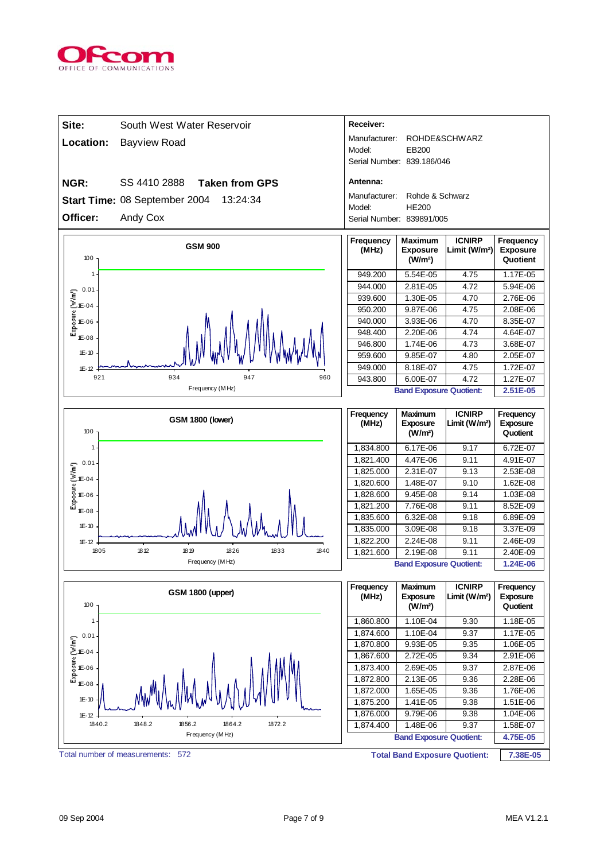

| Site:                                                                             | South West Water Reservoir                | Receiver:                  |                                                          |                                            |                                          |
|-----------------------------------------------------------------------------------|-------------------------------------------|----------------------------|----------------------------------------------------------|--------------------------------------------|------------------------------------------|
| Location:                                                                         | <b>Bayview Road</b>                       | Manufacturer:<br>Model:    | EB200                                                    | ROHDE&SCHWARZ                              |                                          |
|                                                                                   |                                           | Serial Number: 839.186/046 |                                                          |                                            |                                          |
| NGR:                                                                              | SS 4410 2888<br><b>Taken from GPS</b>     | Antenna:                   |                                                          |                                            |                                          |
|                                                                                   | Start Time: 08 September 2004<br>13:24:34 | Manufacturer:              | Rohde & Schwarz                                          |                                            |                                          |
|                                                                                   |                                           | Model:                     | <b>HE200</b>                                             |                                            |                                          |
| Officer:                                                                          | Andy Cox                                  | Serial Number: 839891/005  |                                                          |                                            |                                          |
| 100                                                                               | <b>GSM 900</b>                            | Frequency<br>(MHz)         | <b>Maximum</b><br><b>Exposure</b><br>(W/m <sup>2</sup> ) | <b>ICNIRP</b><br>Limit (W/m <sup>2</sup> ) | Frequency<br><b>Exposure</b><br>Quotient |
| 1                                                                                 |                                           | 949.200                    | 5.54E-05                                                 | 4.75                                       | 1.17E-05                                 |
| 0.01                                                                              |                                           | 944.000                    | 2.81E-05                                                 | 4.72                                       | 5.94E-06                                 |
| $1E-04$                                                                           |                                           | 939.600                    | 1.30E-05                                                 | 4.70                                       | 2.76E-06                                 |
|                                                                                   |                                           | 950.200                    | 9.87E-06                                                 | 4.75                                       | 2.08E-06                                 |
| Exposure (W/m <sup>1</sup> )<br>1E-06                                             |                                           | 940.000                    | 3.93E-06                                                 | 4.70                                       | 8.35E-07                                 |
| 1E-08                                                                             |                                           | 948.400                    | 2.20E-06                                                 | 4.74                                       | 4.64E-07                                 |
| $1E-10$                                                                           |                                           | 946.800<br>959.600         | 1.74E-06<br>9.85E-07                                     | 4.73<br>4.80                               | 3.68E-07<br>2.05E-07                     |
| $1E-12$                                                                           |                                           | 949.000                    | 8.18E-07                                                 | 4.75                                       | 1.72E-07                                 |
| 921                                                                               | 934<br>947<br>960                         | 943.800                    | 6.00E-07                                                 | 4.72                                       | 1.27E-07                                 |
|                                                                                   | Frequency (MHz)                           |                            | <b>Band Exposure Quotient:</b>                           |                                            | 2.51E-05                                 |
|                                                                                   |                                           |                            |                                                          |                                            |                                          |
| 100                                                                               | <b>GSM 1800 (lower)</b>                   | Frequency<br>(MHz)         | Maximum<br><b>Exposure</b><br>(W/m <sup>2</sup> )        | <b>ICNIRP</b><br>Limit (W/m <sup>2</sup> ) | Frequency<br><b>Exposure</b><br>Quotient |
| 1                                                                                 |                                           | 1,834.800                  | 6.17E-06                                                 | 9.17                                       | 6.72E-07                                 |
|                                                                                   |                                           | 1,821.400                  | 4.47E-06                                                 | 9.11                                       | 4.91E-07                                 |
| 0.01                                                                              |                                           | 1,825.000                  | 2.31E-07                                                 | 9.13                                       | 2.53E-08                                 |
| $\begin{bmatrix}\n0.01 \\ 0.01 \\ 0.04\n\end{bmatrix}$<br>Exposure (16-04<br>E-08 |                                           | 1,820.600                  | 1.48E-07                                                 | 9.10                                       | 1.62E-08                                 |
|                                                                                   |                                           | 1,828.600                  | 9.45E-08                                                 | 9.14                                       | 1.03E-08                                 |
| 1E-08                                                                             |                                           | 1,821.200                  | 7.76E-08                                                 | 9.11                                       | 8.52E-09                                 |
|                                                                                   |                                           | 1,835.600                  | 6.32E-08                                                 | 9.18                                       | 6.89E-09                                 |
| $1E-10$                                                                           |                                           | 1,835.000                  | 3.09E-08                                                 | 9.18                                       | 3.37E-09                                 |
| $1E-12$<br>1805                                                                   | 1812<br>1833<br>18 19<br>1826<br>1840     | 1,822.200                  | 2.24E-08                                                 | 9.11                                       | 2.46E-09                                 |
|                                                                                   | Frequency (MHz)                           | 1,821.600                  | 2.19E-08<br><b>Band Exposure Quotient:</b>               | 9.11                                       | 2.40E-09<br>1.24E-06                     |
|                                                                                   |                                           |                            |                                                          |                                            |                                          |
| 100                                                                               | <b>GSM 1800 (upper)</b>                   | Frequency<br>(MHz)         | <b>Maximum</b><br><b>Exposure</b><br>(W/m <sup>2</sup> ) | <b>ICNIRP</b><br>Limit (W/m <sup>2</sup> ) | Frequency<br>Exposure<br>Quotient        |
| 1                                                                                 |                                           | 1,860.800                  | 1.10E-04                                                 | 9.30                                       | 1.18E-05                                 |
| 0.01                                                                              |                                           | 1,874.600                  | 1.10E-04                                                 | 9.37                                       | 1.17E-05                                 |
|                                                                                   |                                           | 1,870.800                  | 9.93E-05                                                 | 9.35                                       | 1.06E-05                                 |
| $\begin{bmatrix}\n0.01 \\ 0.01 \\ 0.04\n\end{bmatrix}$<br>E-04<br>E-06<br>E-08    |                                           | 1,867.600                  | 2.72E-05                                                 | 9.34                                       | 2.91E-06                                 |
|                                                                                   |                                           | 1,873.400                  | 2.69E-05                                                 | 9.37                                       | 2.87E-06                                 |
| 1E-08                                                                             |                                           | 1,872.800<br>1,872.000     | 2.13E-05<br>1.65E-05                                     | 9.36<br>9.36                               | 2.28E-06<br>1.76E-06                     |
| $1E - 10$                                                                         |                                           | 1,875.200                  | 1.41E-05                                                 | 9.38                                       | 1.51E-06                                 |
| $1E - 12$                                                                         |                                           | 1,876.000                  | 9.79E-06                                                 | 9.38                                       | 1.04E-06                                 |
| 1840.2                                                                            | 1856.2<br>1848.2<br>1864.2<br>1872.2      | 1,874.400                  | 1.48E-06                                                 | 9.37                                       | 1.58E-07                                 |
|                                                                                   | Frequency (MHz)                           |                            | <b>Band Exposure Quotient:</b>                           |                                            | 4.75E-05                                 |
| Total number of measurements:                                                     | 572                                       |                            | <b>Total Band Exposure Quotient:</b>                     |                                            | 7.38E-05                                 |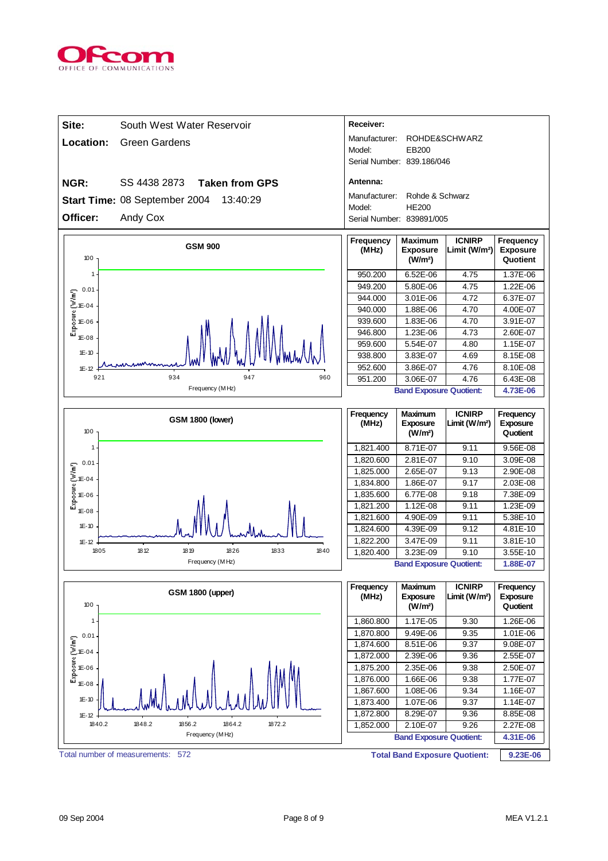

| Site:                                                                                                                                                                                                                                                                                         | South West Water Reservoir                | Receiver:                  |                                                          |                                            |                                          |
|-----------------------------------------------------------------------------------------------------------------------------------------------------------------------------------------------------------------------------------------------------------------------------------------------|-------------------------------------------|----------------------------|----------------------------------------------------------|--------------------------------------------|------------------------------------------|
| Location:                                                                                                                                                                                                                                                                                     | <b>Green Gardens</b>                      | Manufacturer:              |                                                          | ROHDE&SCHWARZ                              |                                          |
|                                                                                                                                                                                                                                                                                               |                                           | Model:                     | EB200                                                    |                                            |                                          |
|                                                                                                                                                                                                                                                                                               |                                           | Serial Number: 839.186/046 |                                                          |                                            |                                          |
| NGR:                                                                                                                                                                                                                                                                                          | SS 4438 2873<br><b>Taken from GPS</b>     | Antenna:                   |                                                          |                                            |                                          |
|                                                                                                                                                                                                                                                                                               | Start Time: 08 September 2004<br>13:40:29 | Manufacturer:              | Rohde & Schwarz                                          |                                            |                                          |
|                                                                                                                                                                                                                                                                                               |                                           | Model:                     | <b>HE200</b>                                             |                                            |                                          |
| Officer:                                                                                                                                                                                                                                                                                      | Andy Cox                                  | Serial Number: 839891/005  |                                                          |                                            |                                          |
| 100                                                                                                                                                                                                                                                                                           | <b>GSM 900</b>                            | Frequency<br>(MHz)         | <b>Maximum</b><br><b>Exposure</b><br>(W/m <sup>2</sup> ) | <b>ICNIRP</b><br>Limit (W/m <sup>2</sup> ) | Frequency<br><b>Exposure</b><br>Quotient |
| 1                                                                                                                                                                                                                                                                                             |                                           | 950.200                    | 6.52E-06                                                 | 4.75                                       | 1.37E-06                                 |
| 0.01                                                                                                                                                                                                                                                                                          |                                           | 949.200                    | 5.80E-06                                                 | 4.75                                       | 1.22E-06                                 |
| $\begin{bmatrix} 1 & 0.01 \\ 0.01 & 0.01 \\ 0.01 & 0.01 \\ 0.01 & 0.01 \\ 0.01 & 0.01 \\ 0.01 & 0.01 \\ 0.01 & 0.01 \\ 0.01 & 0.01 \\ 0.01 & 0.01 \\ 0.01 & 0.01 \\ 0.01 & 0.01 \\ 0.01 & 0.01 \\ 0.01 & 0.01 \\ 0.01 & 0.01 \\ 0.01 & 0.01 \\ 0.01 & 0.01 \\ 0.01 & 0.01 \\ 0.01 & 0.01 \\ $ |                                           | 944.000                    | 3.01E-06                                                 | 4.72                                       | 6.37E-07                                 |
|                                                                                                                                                                                                                                                                                               |                                           | 940.000                    | 1.88E-06                                                 | 4.70                                       | 4.00E-07                                 |
|                                                                                                                                                                                                                                                                                               |                                           | 939.600<br>946.800         | 1.83E-06<br>1.23E-06                                     | 4.70<br>4.73                               | 3.91E-07<br>2.60E-07                     |
| 1E-08                                                                                                                                                                                                                                                                                         |                                           | 959.600                    | 5.54E-07                                                 | 4.80                                       | 1.15E-07                                 |
| $1E-10$                                                                                                                                                                                                                                                                                       |                                           | 938.800                    | 3.83E-07                                                 | 4.69                                       | 8.15E-08                                 |
| $1E - 12$                                                                                                                                                                                                                                                                                     |                                           | 952.600                    | 3.86E-07                                                 | 4.76                                       | 8.10E-08                                 |
| 921                                                                                                                                                                                                                                                                                           | 947<br>934<br>960                         | 951.200                    | 3.06E-07                                                 | 4.76                                       | 6.43E-08                                 |
|                                                                                                                                                                                                                                                                                               | Frequency (MHz)                           |                            | <b>Band Exposure Quotient:</b>                           |                                            | 4.73E-06                                 |
|                                                                                                                                                                                                                                                                                               |                                           |                            |                                                          |                                            |                                          |
| 100                                                                                                                                                                                                                                                                                           | <b>GSM 1800 (lower)</b>                   | Frequency<br>(MHz)         | <b>Maximum</b><br><b>Exposure</b><br>(W/m <sup>2</sup> ) | <b>ICNIRP</b><br>Limit $(W/m^2)$           | Frequency<br><b>Exposure</b><br>Quotient |
| 1                                                                                                                                                                                                                                                                                             |                                           | 1,821.400                  | 8.71E-07                                                 | 9.11                                       | 9.56E-08                                 |
| 0.01                                                                                                                                                                                                                                                                                          |                                           | 1,820.600                  | 2.81E-07                                                 | 9.10                                       | 3.09E-08                                 |
|                                                                                                                                                                                                                                                                                               |                                           | 1,825.000                  | 2.65E-07                                                 | 9.13                                       | 2.90E-08                                 |
| $\begin{bmatrix} 1 & 0.01 \\ 0.01 & 0.01 \\ 0.01 & 0.01 \\ 0.01 & 0.01 \\ 0.01 & 0.01 \end{bmatrix}$                                                                                                                                                                                          |                                           | 1,834.800                  | 1.86E-07                                                 | 9.17                                       | 2.03E-08                                 |
|                                                                                                                                                                                                                                                                                               |                                           | 1,835.600                  | 6.77E-08                                                 | 9.18                                       | 7.38E-09                                 |
| $1E-08$                                                                                                                                                                                                                                                                                       |                                           | 1,821.200<br>1,821.600     | 1.12E-08<br>4.90E-09                                     | 9.11<br>9.11                               | 1.23E-09<br>5.38E-10                     |
| $1E-10$                                                                                                                                                                                                                                                                                       |                                           | 1,824.600                  | 4.39E-09                                                 | 9.12                                       | 4.81E-10                                 |
| $1E-12$                                                                                                                                                                                                                                                                                       |                                           | 1,822.200                  | 3.47E-09                                                 | 9.11                                       | 3.81E-10                                 |
| 1805                                                                                                                                                                                                                                                                                          | 18 12<br>1833<br>18 19<br>1826<br>1840    | 1,820.400                  | 3.23E-09                                                 | 9.10                                       | 3.55E-10                                 |
|                                                                                                                                                                                                                                                                                               | Frequency (MHz)                           |                            | <b>Band Exposure Quotient:</b>                           |                                            | 1.88E-07                                 |
| 100                                                                                                                                                                                                                                                                                           | <b>GSM 1800 (upper)</b>                   | Frequency<br>(MHz)         | <b>Maximum</b><br><b>Exposure</b><br>(W/m <sup>2</sup> ) | <b>ICNIRP</b><br>Limit $(W/m^2)$           | Frequency<br><b>Exposure</b><br>Quotient |
| 1                                                                                                                                                                                                                                                                                             |                                           | 1,860.800                  | 1.17E-05                                                 | 9.30                                       | 1.26E-06                                 |
| 0.01                                                                                                                                                                                                                                                                                          |                                           | 1,870.800                  | 9.49E-06                                                 | 9.35                                       | 1.01E-06                                 |
|                                                                                                                                                                                                                                                                                               |                                           | 1,874.600                  | 8.51E-06                                                 | 9.37                                       | 9.08E-07                                 |
|                                                                                                                                                                                                                                                                                               |                                           | 1,872.000                  | 2.39E-06                                                 | 9.36                                       | 2.55E-07                                 |
| $\begin{bmatrix}\n0.01 \\ 0.01 \\ 0.04\n\end{bmatrix}$<br>E-04<br>E-06<br>E-08                                                                                                                                                                                                                |                                           | 1,875.200<br>1,876.000     | 2.35E-06<br>1.66E-06                                     | 9.38<br>9.38                               | 2.50E-07<br>1.77E-07                     |
| $1E-08$                                                                                                                                                                                                                                                                                       |                                           | 1,867.600                  | 1.08E-06                                                 | 9.34                                       | 1.16E-07                                 |
| $1E - 10$                                                                                                                                                                                                                                                                                     |                                           | 1,873.400                  | 1.07E-06                                                 | 9.37                                       | 1.14E-07                                 |
| $1E - 12$                                                                                                                                                                                                                                                                                     |                                           | 1,872.800                  | 8.29E-07                                                 | 9.36                                       | 8.85E-08                                 |
| 1840.2                                                                                                                                                                                                                                                                                        | 1848.2<br>1856.2<br>1864.2<br>1872.2      | 1,852.000                  | 2.10E-07                                                 | 9.26                                       | $2.27E-08$                               |
|                                                                                                                                                                                                                                                                                               | Frequency (MHz)                           |                            | <b>Band Exposure Quotient:</b>                           |                                            | 4.31E-06                                 |
| Total number of measurements:                                                                                                                                                                                                                                                                 | 572                                       |                            | <b>Total Band Exposure Quotient:</b>                     |                                            | 9.23E-06                                 |